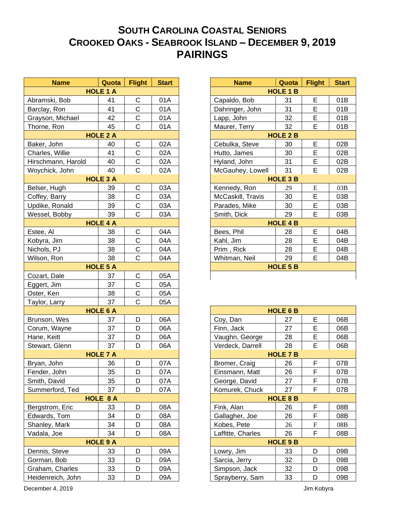## **SOUTH CAROLINA COASTAL SENIORS CROOKED OAKS - SEABROOK ISLAND – DECEMBER 9, 2019 PAIRINGS**

| <b>Name</b>        | Quota           | <b>Flight</b>  | <b>Start</b> |                | <b>Name</b>       | Quota           | <b>Flight</b> | <b>Star</b> |
|--------------------|-----------------|----------------|--------------|----------------|-------------------|-----------------|---------------|-------------|
| <b>HOLE 1 A</b>    |                 |                |              |                | <b>HOLE 1 B</b>   |                 |               |             |
| Abramski, Bob      | 41              | $\mathsf C$    | 01A          | Capaldo, Bob   |                   | 31              | E             | 01B         |
| Barclay, Ron       | 41              | C              | 01A          |                | Dahringer, John   | 31              | E             | 01B         |
| Grayson, Michael   | 42              | $\mathsf C$    | 01A          | Lapp, John     |                   | 32              | E             | 01B         |
| Thorne, Ron        | 45              | $\mathsf C$    | 01A          | Maurer, Terry  |                   | 32              | E             | 01B         |
|                    | <b>HOLE 2 A</b> |                |              |                |                   | <b>HOLE 2 B</b> |               |             |
| Baker, John        | 40              | $\mathsf C$    | 02A          |                | Cebulka, Steve    | 30              | E             | 02B         |
| Charles, Willie    | 41              | C              | 02A          | Hutto, James   |                   | 30              | E             | 02B         |
| Hirschmann, Harold | 40              | $\mathsf C$    | 02A          | Hyland, John   |                   | 31              | E             | 02B         |
| Woychick, John     | 40              | $\mathsf C$    | 02A          |                | McGauhey, Lowell  | 31              | E             | 02B         |
|                    | <b>HOLE 3 A</b> |                |              |                |                   | <b>HOLE 3 B</b> |               |             |
| Belser, Hugh       | 39              | C              | 03A          | Kennedy, Ron   |                   | 29              | ${\bf E}$     | 03B         |
| Coffey, Barry      | 38              | C              | 03A          |                | McCaskill, Travis | 30              | E             | 03B         |
| Updike, Ronald     | 39              | $\mathsf C$    | 03A          | Parades, Mike  |                   | 30              | E             | 03B         |
| Wessel, Bobby      | 39              | $\mathsf{C}$   | 03A          | Smith, Dick    |                   | 29              | E             | 03B         |
|                    | <b>HOLE 4 A</b> |                |              |                |                   | <b>HOLE 4 B</b> |               |             |
| Estee, Al          | 38              | С              | 04A          | Bees, Phil     |                   | 28              | E             | 04B         |
| Kobyra, Jim        | 38              | C              | 04A          | Kahl, Jim      |                   | 28              | E             | 04B         |
| Nichols, PJ        | 38              | $\mathsf C$    | 04A          | Prim, Rick     |                   | 28              | E             | 04B         |
| Wilson, Ron        | 38              | $\overline{C}$ | 04A          | Whitman, Neil  |                   | 29              | E             | 04B         |
|                    | <b>HOLE 5 A</b> |                |              |                |                   | <b>HOLE 5 B</b> |               |             |
| Cozart, Dale       | 37              | C              | 05A          |                |                   |                 |               |             |
| Eggert, Jim        | 37              | $\mathsf C$    | 05A          |                |                   |                 |               |             |
| Oster, Ken         | 38              | $\mathsf C$    | 05A          |                |                   |                 |               |             |
| Taylor, Larry      | 37              | $\mathsf{C}$   | 05A          |                |                   |                 |               |             |
|                    | <b>HOLE 6 A</b> |                |              |                |                   | <b>HOLE 6 B</b> |               |             |
| Brunson, Wes       | 37              | D              | 06A          | Coy, Dan       |                   | 27              | E             | 06B         |
| Corum, Wayne       | 37              | D              | 06A          | Finn, Jack     |                   | 27              | E             | 06B         |
| Hane, Keitt        | 37              | D              | 06A          |                | Vaughn, George    | 28              | E             | 06B         |
| Stewart, Glenn     | 37              | D              | 06A          |                | Verdeck, Darrell  | 28              | E             | 06B         |
|                    | <b>HOLE 7 A</b> |                |              |                |                   | <b>HOLE 7 B</b> |               |             |
| Bryan, John        | 36              | D              | 07A          | Bromer, Craig  |                   | 26              | F             | 07B         |
| Fender, John       | 35              | D              | 07A          |                | Einsmann, Matt    | 26              | F             | 07B         |
| Smith, David       | 35              | D              | 07A          | George, David  |                   | 27              | F             | 07B         |
| Summerford, Ted    | 37              | D              | 07A          |                | Komurek, Chuck    | 27              | F             | 07B         |
|                    | HOLE 8 A        |                |              |                |                   | <b>HOLE 8 B</b> |               |             |
| Bergstrom, Eric    | 33              | D              | 08A          | Fink, Alan     |                   | 26              | F             | 08B         |
| Edwards, Tom       | 34              | D              | 08A          | Gallagher, Joe |                   | 26              | F             | 08B         |
| Shanley, Mark      | 34              | D              | 08A          | Kobes, Pete    |                   | 26              | ${\bf F}$     | 08B         |
| Vadala, Joe        | 34              | D              | 08A          |                | Laffitte, Charles | 26              | F             | 08B         |
|                    | <b>HOLE 9 A</b> |                |              |                |                   | <b>HOLE 9 B</b> |               |             |
| Dennis, Steve      | 33              | D              | 09A          | Lowry, Jim     |                   | 33              | D             | 09B         |
| Gorman, Bob        | 33              | D              | 09A          | Sarcia, Jerry  |                   | 32              | D             | 09B         |
| Graham, Charles    | 33              | D              | 09A          |                | Simpson, Jack     | 32              | D             | 09B         |
| Heidenreich, John  | 33              | D              | 09A          |                | Sprayberry, Sam   | 33              | D             | 09B         |

| <b>Name</b>     | Quota           | <b>Flight</b> | <b>Start</b> |                 | <b>Name</b>              | Quota | <b>Flight</b> | <b>Start</b> |
|-----------------|-----------------|---------------|--------------|-----------------|--------------------------|-------|---------------|--------------|
|                 | <b>HOLE 1 A</b> |               |              |                 | <b>HOLE 1 B</b>          |       |               |              |
| i, Bob          | 41              | C             | 01A          |                 | Capaldo, Bob             | 31    | E             | 01B          |
| Ron             | 41              | C             | 01A          |                 | Dahringer, John          | 31    | E             | 01B          |
| , Michael       | 42              | C             | 01A          |                 | Lapp, John               | 32    | E             | 01B          |
| Ron             | 45              | $\mathsf{C}$  | 01A          | Maurer, Terry   |                          | 32    | E             | 01B          |
|                 | <b>HOLE 2 A</b> |               |              |                 | <b>HOLE 2 B</b>          |       |               |              |
| ohn             | 40              | C             | 02A          |                 | Cebulka, Steve           | 30    | E             | 02B          |
| Willie          | 41              | C             | 02A          |                 | Hutto, James             | 30    | E             | 02B          |
| ann, Harold     | 40              | C             | 02A          |                 | Hyland, John             |       | E             | 02B          |
| k, John         | 40              | $\mathsf C$   | 02A          |                 | 31<br>McGauhey, Lowell   |       | E             | 02B          |
| <b>HOLE 3 A</b> |                 |               |              | <b>HOLE 3 B</b> |                          |       |               |              |
| lugh            | 39              | C             | 03A          |                 | Kennedy, Ron             | 29    | E             | 03B          |
| Barry           | 38              | C             | 03A          |                 | McCaskill, Travis        | 30    | E             | 03B          |
| Ronald          | 39              | C             | 03A          |                 | Parades, Mike            | 30    | E             | 03B          |
| Bobby           | 39              | $\mathsf{C}$  | 03A          |                 | Smith, Dick              | 29    | E             | 03B          |
| <b>HOLE 4 A</b> |                 |               |              |                 | <b>HOLE 4 B</b>          |       |               |              |
|                 | 38              | $\mathsf{C}$  | 04A          |                 | Bees, Phil               | 28    | E             | 04B          |
| <u>Jim</u>      | 38              | $\mathsf{C}$  | 04A          |                 | Kahl, Jim                | 28    | E             | 04B          |
| PJ              | 38              | C             | 04A          |                 | Prim, Rick               | 28    | E             | 04B          |
| Ron             | 38              | $\mathsf{C}$  | 04A          |                 | E<br>Whitman, Neil<br>29 |       | 04B           |              |
|                 | <b>HOLE 5 A</b> |               |              |                 | <b>HOLE 5 B</b>          |       |               |              |
| <b>Dale</b>     | 37              | C             | 05A          |                 |                          |       |               |              |

| <b>HOLE 6 B</b>   |         |   |     |  |  |  |  |
|-------------------|---------|---|-----|--|--|--|--|
| Coy, Dan          | 27      | E | 06B |  |  |  |  |
| Finn, Jack        | 27      | E | 06B |  |  |  |  |
| Vaughn, George    | 28      | Е | 06B |  |  |  |  |
| Verdeck, Darrell  | E<br>28 |   | 06B |  |  |  |  |
| <b>HOLE 7 B</b>   |         |   |     |  |  |  |  |
| Bromer, Craig     | 26      | F | 07B |  |  |  |  |
| Einsmann, Matt    | 26      | F | 07B |  |  |  |  |
| George, David     | 27      | F | 07B |  |  |  |  |
| Komurek, Chuck    | 27      | F | 07B |  |  |  |  |
| <b>HOLE 8 B</b>   |         |   |     |  |  |  |  |
| Fink, Alan        | 26      | F | 08B |  |  |  |  |
| Gallagher, Joe    | 26      | F | 08B |  |  |  |  |
| Kobes, Pete       | 26      | F | 08B |  |  |  |  |
| Laffitte, Charles | 26      | F | 08B |  |  |  |  |
| <b>HOLE 9 B</b>   |         |   |     |  |  |  |  |
| Lowry, Jim        | 33      | D | 09B |  |  |  |  |
| Sarcia, Jerry     | 32      | D | 09B |  |  |  |  |
| Simpson, Jack     | 32      | D | 09B |  |  |  |  |
| Sprayberry, Sam   | 33      | n | 09B |  |  |  |  |

December 4, 2019 Jim Kobyra